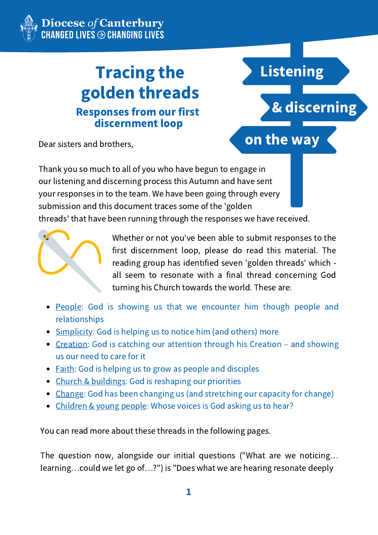# Tracing the golden threads Responses from our first discernment loop



Dear sisters and brothers,

Thank you so much to all of you who have begun to engage in our listening and discerning process this Autumn and have sent your responses in to the team. We have been going through every submission and this document traces some of the 'golden threads' that have been running through the responses we have received.



Whether or not you've been able to submit responses to the first discernment loop, please do read this material. The reading group has identified seven 'golden threads' which all seem to resonate with a final thread concerning God turning his Church towards the world. These are:

- People: God is showing us that we encounter him though people and relationships
- Simplicity: God is helping us to notice him (and others) more
- Creation: God is catching our attention through his Creation and showing us our need to care for it
- Faith: God is helping us to grow as people and disciples
- Church & buildings: God is reshaping our priorities
- Change: God has been changing us (and stretching our capacity for change)
- Children & young people: Whose voices is God asking us to hear?

You can read more about these threads in the following pages.

The question now, alongside our initial questions ("What are we noticing… learning…could we let go of…?") is "Does what we are hearing resonate deeply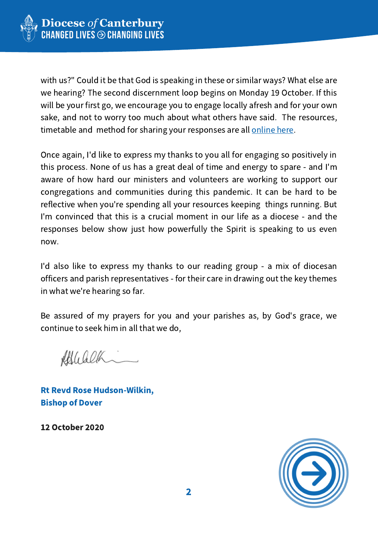

with us?" Could it be that God is speaking in these or similar ways? What else are we hearing? The second discernment loop begins on Monday 19 October. If this will be your first go, we encourage you to engage locally afresh and for your own sake, and not to worry too much about what others have said. The resources, timetable and method for sharing your responses are all [online](https://canterburydiocese.org/listening) here.

Once again, I'd like to express my thanks to you all for engaging so positively in this process. None of us has a great deal of time and energy to spare - and I'm aware of how hard our ministers and volunteers are working to support our congregations and communities during this pandemic. It can be hard to be reflective when you're spending all your resources keeping things running. But I'm convinced that this is a crucial moment in our life as a diocese - and the responses below show just how powerfully the Spirit is speaking to us even now.

I'd also like to express my thanks to our reading group - a mix of diocesan officers and parish representatives - for their care in drawing out the key themes in what we're hearing so far.

Be assured of my prayers for you and your parishes as, by God's grace, we continue to seek him in all that we do,

Afflicalle

Rt Revd Rose Hudson-Wilkin, Bishop of Dover

12 October 2020

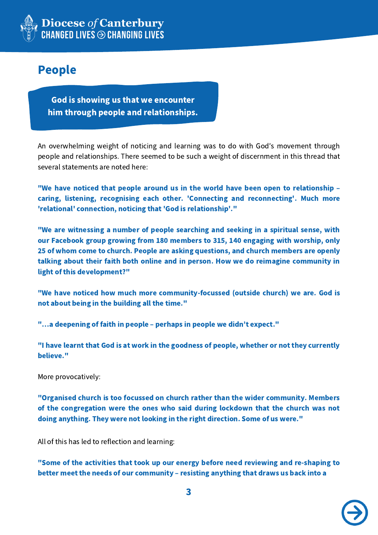

# People

God is showing us that we encounter him through people and relationships.

An overwhelming weight of noticing and learning was to do with God's movement through people and relationships. There seemed to be such a weight of discernment in this thread that several statements are noted here:

"We have noticed that people around us in the world have been open to relationship – caring, listening, recognising each other. 'Connecting and reconnecting'. Much more 'relational' connection, noticing that 'God is relationship'."

"We are witnessing a number of people searching and seeking in a spiritual sense, with our Facebook group growing from 180 members to 315, 140 engaging with worship, only 25 of whom come to church. People are asking questions, and church members are openly talking about their faith both online and in person. How we do reimagine community in light of this development?"

"We have noticed how much more community-focussed (outside church) we are. God is not about being in the building all the time."

"…a deepening of faith in people – perhaps in people we didn't expect."

"I have learnt that God is at work in the goodness of people, whether or not they currently believe."

More provocatively:

"Organised church is too focussed on church rather than the wider community. Members of the congregation were the ones who said during lockdown that the church was not doing anything. They were not looking in the right direction. Some of us were."

All of this has led to reflection and learning:

"Some of the activities that took up our energy before need reviewing and re-shaping to better meet the needs of our community – resisting anything that draws us back into a

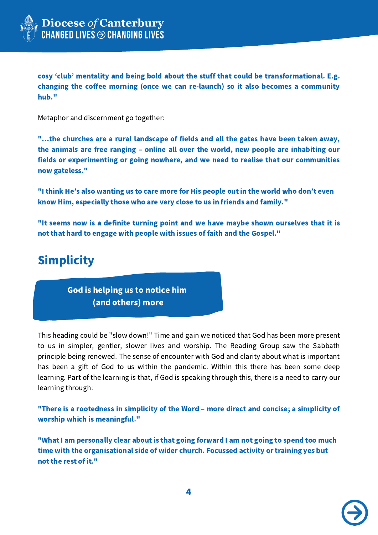

cosy ʻclub' mentality and being bold about the stuff that could be transformational. E.g. changing the coffee morning (once we can re-launch) so it also becomes a community hub."

Metaphor and discernment go together:

"…the churches are a rural landscape of fields and all the gates have been taken away, the animals are free ranging – online all over the world, new people are inhabiting our fields or experimenting or going nowhere, and we need to realise that our communities now gateless."

"I think He's also wanting us to care more for His people out in the world who don't even know Him, especially those who are very close to us in friends and family."

"It seems now is a definite turning point and we have maybe shown ourselves that it is not that hard to engage with people with issues of faith and the Gospel."

# **Simplicity**

God is helping us to notice him (and others) more

This heading could be "slow down!" Time and gain we noticed that God has been more present to us in simpler, gentler, slower lives and worship. The Reading Group saw the Sabbath principle being renewed. The sense of encounter with God and clarity about what is important has been a gift of God to us within the pandemic. Within this there has been some deep learning. Part of the learning is that, if God is speaking through this, there is a need to carry our learning through:

"There is a rootedness in simplicity of the Word – more direct and concise; a simplicity of worship which is meaningful."

"What I am personally clear about is that going forward I am not going to spend too much time with the organisational side of wider church. Focussed activity or training yes but not the rest of it."

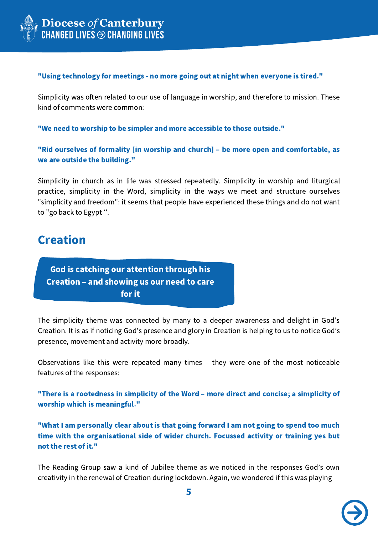

#### "Using technology for meetings - no more going out at night when everyone is tired."

Simplicity was often related to our use of language in worship, and therefore to mission. These kind of comments were common:

"We need to worship to be simpler and more accessible to those outside."

"Rid ourselves of formality [in worship and church] – be more open and comfortable, as we are outside the building."

Simplicity in church as in life was stressed repeatedly. Simplicity in worship and liturgical practice, simplicity in the Word, simplicity in the ways we meet and structure ourselves "simplicity and freedom": it seems that people have experienced these things and do not want to "go back to Egypt ''.

### Creation

God is catching our attention through his Creation – and showing us our need to care for it

The simplicity theme was connected by many to a deeper awareness and delight in God's Creation. It is as if noticing God's presence and glory in Creation is helping to us to notice God's presence, movement and activity more broadly.

Observations like this were repeated many times – they were one of the most noticeable features of the responses:

"There is a rootedness in simplicity of the Word – more direct and concise; a simplicity of worship which is meaningful."

"What I am personally clear about is that going forward I am not going to spend too much time with the organisational side of wider church. Focussed activity or training yes but not the rest of it."

The Reading Group saw a kind of Jubilee theme as we noticed in the responses God's own creativity in the renewal of Creation during lockdown. Again, we wondered if this was playing

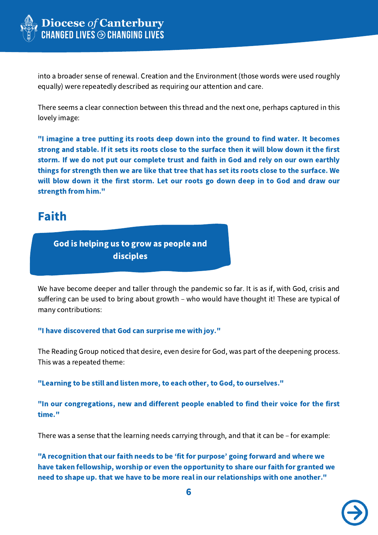

into a broader sense of renewal. Creation and the Environment (those words were used roughly equally) were repeatedly described as requiring our attention and care.

There seems a clear connection between this thread and the next one, perhaps captured in this lovely image:

"I imagine a tree putting its roots deep down into the ground to find water. It becomes strong and stable. If it sets its roots close to the surface then it will blow down it the first storm. If we do not put our complete trust and faith in God and rely on our own earthly things for strength then we are like that tree that has set its roots close to the surface. We will blow down it the first storm. Let our roots go down deep in to God and draw our strength from him."

### Faith

God is helping us to grow as people and disciples

We have become deeper and taller through the pandemic so far. It is as if, with God, crisis and suffering can be used to bring about growth – who would have thought it! These are typical of many contributions:

### "I have discovered that God can surprise me with joy."

The Reading Group noticed that desire, even desire for God, was part of the deepening process. This was a repeated theme:

"Learning to be still and listen more, to each other, to God, to ourselves."

"In our congregations, new and different people enabled to find their voice for the first time."

There was a sense that the learning needs carrying through, and that it can be – for example:

"A recognition that our faith needs to be ʻfit for purpose' going forward and where we have taken fellowship, worship or even the opportunity to share our faith for granted we need to shape up. that we have to be more real in our relationships with one another."

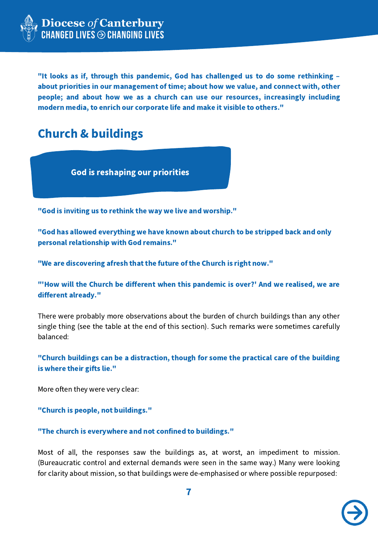

"It looks as if, through this pandemic, God has challenged us to do some rethinking – about priorities in our management of time; about how we value, and connect with, other people; and about how we as a church can use our resources, increasingly including modern media, to enrich our corporate life and make it visible to others."

# Church & buildings

God is reshaping our priorities

"God is inviting us to rethink the way we live and worship."

"God has allowed everything we have known about church to be stripped back and only personal relationship with God remains."

"We are discovering afresh that the future of the Church is right now."

"'How will the Church be different when this pandemic is over?' And we realised, we are different already."

There were probably more observations about the burden of church buildings than any other single thing (see the table at the end of this section). Such remarks were sometimes carefully balanced:

"Church buildings can be a distraction, though for some the practical care of the building is where their gifts lie."

More often they were very clear:

"Church is people, not buildings."

"The church is everywhere and not confined to buildings."

Most of all, the responses saw the buildings as, at worst, an impediment to mission. (Bureaucratic control and external demands were seen in the same way.) Many were looking for clarity about mission, so that buildings were de-emphasised or where possible repurposed:

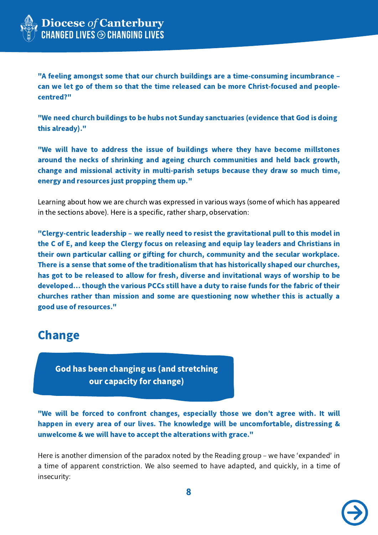

"A feeling amongst some that our church buildings are a time-consuming incumbrance – can we let go of them so that the time released can be more Christ-focused and peoplecentred?"

"We need church buildings to be hubs not Sunday sanctuaries (evidence that God is doing this already)."

"We will have to address the issue of buildings where they have become millstones around the necks of shrinking and ageing church communities and held back growth, change and missional activity in multi-parish setups because they draw so much time, energy and resources just propping them up."

Learning about how we are church was expressed in various ways (some of which has appeared in the sections above). Here is a specific, rather sharp, observation:

"Clergy-centric leadership – we really need to resist the gravitational pull to this model in the C of E, and keep the Clergy focus on releasing and equip lay leaders and Christians in their own particular calling or gifting for church, community and the secular workplace. There is a sense that some of the traditionalism that has historically shaped our churches, has got to be released to allow for fresh, diverse and invitational ways of worship to be developed… though the various PCCs still have a duty to raise funds for the fabric of their churches rather than mission and some are questioning now whether this is actually a good use of resources."

### Change

God has been changing us (and stretching our capacity for change)

"We will be forced to confront changes, especially those we don't agree with. It will happen in every area of our lives. The knowledge will be uncomfortable, distressing & unwelcome & we will have to accept the alterations with grace."

Here is another dimension of the paradox noted by the Reading group – we have ʻexpanded' in a time of apparent constriction. We also seemed to have adapted, and quickly, in a time of insecurity:

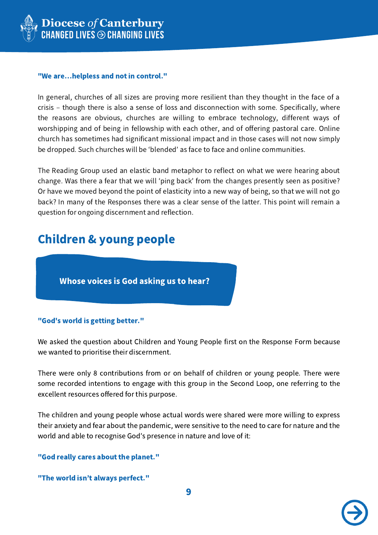

#### "We are…helpless and not in control."

In general, churches of all sizes are proving more resilient than they thought in the face of a crisis – though there is also a sense of loss and disconnection with some. Specifically, where the reasons are obvious, churches are willing to embrace technology, different ways of worshipping and of being in fellowship with each other, and of offering pastoral care. Online church has sometimes had significant missional impact and in those cases will not now simply be dropped. Such churches will be ʻblended' as face to face and online communities.

The Reading Group used an elastic band metaphor to reflect on what we were hearing about change. Was there a fear that we will 'ping back' from the changes presently seen as positive? Or have we moved beyond the point of elasticity into a new way of being, so that we will not go back? In many of the Responses there was a clear sense of the latter. This point will remain a question for ongoing discernment and reflection.

# Children & young people

Whose voices is God asking us to hear?

### "God's world is getting better."

We asked the question about Children and Young People first on the Response Form because we wanted to prioritise their discernment.

There were only 8 contributions from or on behalf of children or young people. There were some recorded intentions to engage with this group in the Second Loop, one referring to the excellent resources offered for this purpose.

The children and young people whose actual words were shared were more willing to express their anxiety and fear about the pandemic, were sensitive to the need to care for nature and the world and able to recognise God's presence in nature and love of it:

### "God really cares about the planet."

"The world isn't always perfect."